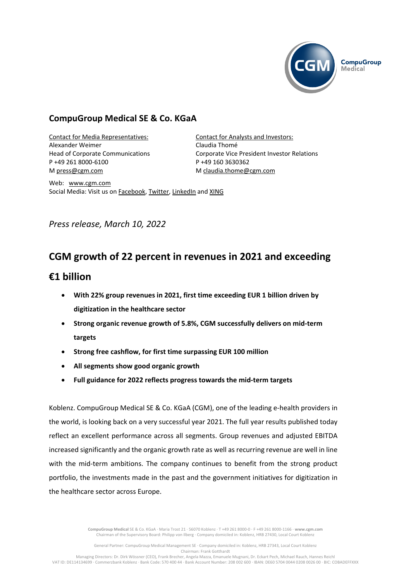

# **CompuGroup Medical SE & Co. KGaA**

Contact for Media Representatives: Alexander Weimer Head of Corporate Communications P +49 261 8000-6100 M [press@cgm.com](mailto:press@cgm.com)

Contact for Analysts and Investors: Claudia Thomé Corporate Vice President Investor Relations P +49 160 3630362 M [claudia.thome@cgm.com](mailto:claudia.thome@cgm.com)

Web: <www.cgm.com> Social Media: Visit us o[n Facebook,](https://www.facebook.com/CompuGroup-Medical-SE-Co-KGaA-112275907098431) [Twitter,](https://twitter.com/CGMeHealth) [LinkedIn](https://www.linkedin.com/company/1453025/) and [XING](https://www.xing.com/companies/compugroupmedicalag)

# *Press release, March 10, 2022*

# **CGM growth of 22 percent in revenues in 2021 and exceeding**

# **€1 billion**

- **With 22% group revenues in 2021, first time exceeding EUR 1 billion driven by digitization in the healthcare sector**
- **Strong organic revenue growth of 5.8%, CGM successfully delivers on mid-term targets**
- **Strong free cashflow, for first time surpassing EUR 100 million**
- **All segments show good organic growth**
- **Full guidance for 2022 reflects progress towards the mid-term targets**

Koblenz. CompuGroup Medical SE & Co. KGaA (CGM), one of the leading e-health providers in the world, is looking back on a very successful year 2021. The full year results published today reflect an excellent performance across all segments. Group revenues and adjusted EBITDA increased significantly and the organic growth rate as well as recurring revenue are well in line with the mid-term ambitions. The company continues to benefit from the strong product portfolio, the investments made in the past and the government initiatives for digitization in the healthcare sector across Europe.

> **CompuGroup Medical** SE & Co. KGaA · Maria Trost 21 · 56070 Koblenz · T +49 261 8000-0 · F +49 261 8000-1166 · **www.cgm.com** Chairman of the Supervisory Board: Philipp von Ilberg · Company domiciled in: Koblenz, HRB 27430, Local Court Koblenz

General Partner: CompuGroup Medical Management SE · Company domiciled in: Koblenz, HRB 27343, Local Court Koblenz Chairman: Frank Gotthardt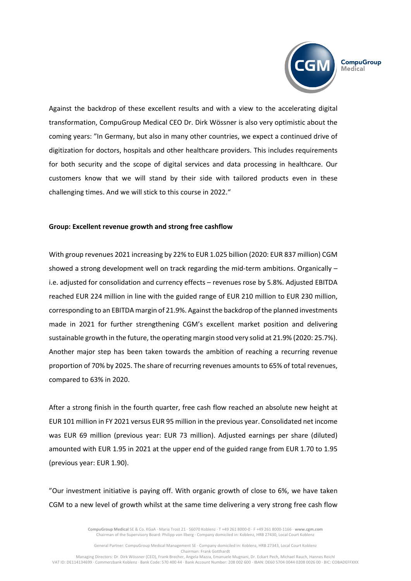

Against the backdrop of these excellent results and with a view to the accelerating digital transformation, CompuGroup Medical CEO Dr. Dirk Wössner is also very optimistic about the coming years: "In Germany, but also in many other countries, we expect a continued drive of digitization for doctors, hospitals and other healthcare providers. This includes requirements for both security and the scope of digital services and data processing in healthcare. Our customers know that we will stand by their side with tailored products even in these challenging times. And we will stick to this course in 2022."

## **Group: Excellent revenue growth and strong free cashflow**

With group revenues 2021 increasing by 22% to EUR 1.025 billion (2020: EUR 837 million) CGM showed a strong development well on track regarding the mid-term ambitions. Organically – i.e. adjusted for consolidation and currency effects – revenues rose by 5.8%. Adjusted EBITDA reached EUR 224 million in line with the guided range of EUR 210 million to EUR 230 million, corresponding to an EBITDA margin of 21.9%. Against the backdrop of the planned investments made in 2021 for further strengthening CGM's excellent market position and delivering sustainable growth in the future, the operating margin stood very solid at 21.9% (2020: 25.7%). Another major step has been taken towards the ambition of reaching a recurring revenue proportion of 70% by 2025. The share of recurring revenues amountsto 65% of total revenues, compared to 63% in 2020.

After a strong finish in the fourth quarter, free cash flow reached an absolute new height at EUR 101 million in FY 2021 versus EUR 95 million in the previous year. Consolidated net income was EUR 69 million (previous year: EUR 73 million). Adjusted earnings per share (diluted) amounted with EUR 1.95 in 2021 at the upper end of the guided range from EUR 1.70 to 1.95 (previous year: EUR 1.90).

"Our investment initiative is paying off. With organic growth of close to 6%, we have taken CGM to a new level of growth whilst at the same time delivering a very strong free cash flow

> **CompuGroup Medical** SE & Co. KGaA · Maria Trost 21 · 56070 Koblenz · T +49 261 8000-0 · F +49 261 8000-1166 · **www.cgm.com** Chairman of the Supervisory Board: Philipp von Ilberg · Company domiciled in: Koblenz, HRB 27430, Local Court Koblenz

General Partner: CompuGroup Medical Management SE · Company domiciled in: Koblenz, HRB 27343, Local Court Koblenz Chairman: Frank Gotthardt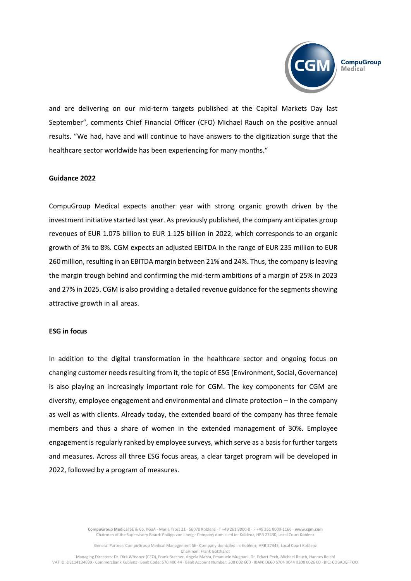

and are delivering on our mid-term targets published at the Capital Markets Day last September", comments Chief Financial Officer (CFO) Michael Rauch on the positive annual results. "We had, have and will continue to have answers to the digitization surge that the healthcare sector worldwide has been experiencing for many months."

## **Guidance 2022**

CompuGroup Medical expects another year with strong organic growth driven by the investment initiative started last year. As previously published, the company anticipates group revenues of EUR 1.075 billion to EUR 1.125 billion in 2022, which corresponds to an organic growth of 3% to 8%. CGM expects an adjusted EBITDA in the range of EUR 235 million to EUR 260 million, resulting in an EBITDA margin between 21% and 24%. Thus, the company isleaving the margin trough behind and confirming the mid-term ambitions of a margin of 25% in 2023 and 27% in 2025. CGM is also providing a detailed revenue guidance for the segments showing attractive growth in all areas.

## **ESG in focus**

In addition to the digital transformation in the healthcare sector and ongoing focus on changing customer needs resulting from it, the topic of ESG (Environment, Social, Governance) is also playing an increasingly important role for CGM. The key components for CGM are diversity, employee engagement and environmental and climate protection – in the company as well as with clients. Already today, the extended board of the company has three female members and thus a share of women in the extended management of 30%. Employee engagement is regularly ranked by employee surveys, which serve as a basis for further targets and measures. Across all three ESG focus areas, a clear target program will be developed in 2022, followed by a program of measures.

> **CompuGroup Medical** SE & Co. KGaA · Maria Trost 21 · 56070 Koblenz · T +49 261 8000-0 · F +49 261 8000-1166 · **www.cgm.com** Chairman of the Supervisory Board: Philipp von Ilberg · Company domiciled in: Koblenz, HRB 27430, Local Court Koblenz

General Partner: CompuGroup Medical Management SE · Company domiciled in: Koblenz, HRB 27343, Local Court Koblenz Chairman: Frank Gotthardt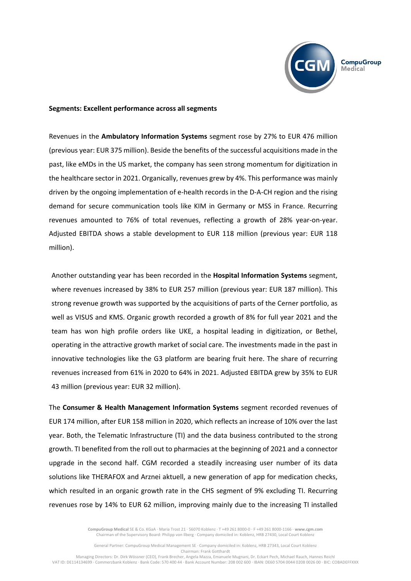

#### **Segments: Excellent performance across all segments**

Revenues in the **Ambulatory Information Systems** segment rose by 27% to EUR 476 million (previous year: EUR 375 million). Beside the benefits of the successful acquisitions made in the past, like eMDs in the US market, the company has seen strong momentum for digitization in the healthcare sector in 2021. Organically, revenues grew by 4%. This performance was mainly driven by the ongoing implementation of e-health records in the D-A-CH region and the rising demand for secure communication tools like KIM in Germany or MSS in France. Recurring revenues amounted to 76% of total revenues, reflecting a growth of 28% year-on-year. Adjusted EBITDA shows a stable development to EUR 118 million (previous year: EUR 118 million).

Another outstanding year has been recorded in the **Hospital Information Systems** segment, where revenues increased by 38% to EUR 257 million (previous year: EUR 187 million). This strong revenue growth was supported by the acquisitions of parts of the Cerner portfolio, as well as VISUS and KMS. Organic growth recorded a growth of 8% for full year 2021 and the team has won high profile orders like UKE, a hospital leading in digitization, or Bethel, operating in the attractive growth market of social care. The investments made in the past in innovative technologies like the G3 platform are bearing fruit here. The share of recurring revenues increased from 61% in 2020 to 64% in 2021. Adjusted EBITDA grew by 35% to EUR 43 million (previous year: EUR 32 million).

The **Consumer & Health Management Information Systems** segment recorded revenues of EUR 174 million, after EUR 158 million in 2020, which reflects an increase of 10% over the last year. Both, the Telematic Infrastructure (TI) and the data business contributed to the strong growth. TI benefited from the roll out to pharmacies at the beginning of 2021 and a connector upgrade in the second half. CGM recorded a steadily increasing user number of its data solutions like THERAFOX and Arznei aktuell, a new generation of app for medication checks, which resulted in an organic growth rate in the CHS segment of 9% excluding TI. Recurring revenues rose by 14% to EUR 62 million, improving mainly due to the increasing TI installed

> **CompuGroup Medical** SE & Co. KGaA · Maria Trost 21 · 56070 Koblenz · T +49 261 8000-0 · F +49 261 8000-1166 · **www.cgm.com** Chairman of the Supervisory Board: Philipp von Ilberg · Company domiciled in: Koblenz, HRB 27430, Local Court Koblenz

General Partner: CompuGroup Medical Management SE · Company domiciled in: Koblenz, HRB 27343, Local Court Koblenz Chairman: Frank Gotthardt